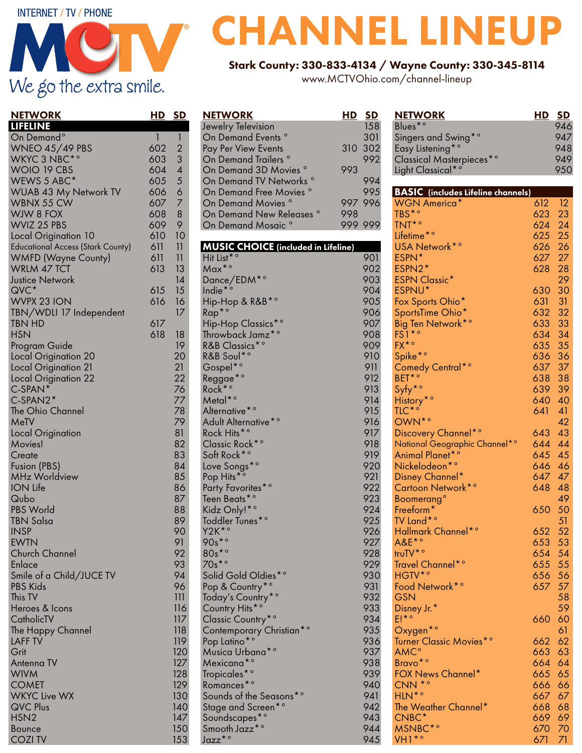## **INTERNET / TV / PHONE** We go the extra smile.

### NETWORK HD SD LIFELINE On Demand<sup>o</sup> 1 1 WNEO 45/49 PBS 602 2 WKYC 3 NBC<sup>\*</sup>° 603 3 WOIO 19 CBS 604 4 WEWS 5 ABC\* 605 5<br>WUAB 43 My Network TV 606 6 WUAB 43 My Network TV 606 6 WBNX 55 CW 607 7<br>WIW 8 FOX 608 8 WJW 8 FOX 608 8<br>WVIZ 25 PBS 609 9 WVIZ 25 PBS 609 9<br>Local Origination 10 610 10 Local Origination 10 610 Educational Access (Stark County) 611 11 WMFD (Wayne County) WRLM 47 TCT 613 13 **Justice Network 14**  $QVC^*$  615 15 WVPX 23 ION 616 16 TBN/WDLI 17 Independent 17 TBN HD 617 HSN 618 18 Program Guide Local Origination 20 20 Local Origination 21 21 Local Origination 22 C-SPAN<sup>\*</sup> 76 C-SPAN2\* 77<br>The Ohio Channel 78 The Ohio Channel MeTV 79 Local Origination 81 Movies! 82 Create 83<br>Fusion (PBS) 84 Fusion (PBS) MHz Worldview 85 ION Life 86 **Qubo** PBS World 88 TBN Salsa 89 INSP 90 EWTN 91 Church Channel 92 Enlace 93<br>Smile of a Child/IUCF TV 94 Smile of a Child/JUCE TV 94<br>PBS Kids 96 PBS Kids This TV 111 Heroes & Icons 116 CatholicTV 117 The Happy Channel **118** LAFF TV 119 Grit 120 Antenna TV 127 WIVM 128 **COMET** WKYC Live WX 130 QVC Plus 140 HSN2 147

Bounce 150<br>COZI TV 153

 $Jazz^*$ <sup>o</sup>

**COZI TV** 

### NETWORK HD SD Jewelry Television 158 On Demand Events<sup>o</sup> Pay Per View Events 310 302 On Demand Trailers ° 992<br>On Demand 3D Movies ° 993 On Demand 3D Movies<sup>°</sup> On Demand TV Networks ° 994 On Demand Free Movies On Demand Movies ° 997 996 On Demand New Releases ° 998<br>On Demand Mosaic ° 999 999 On Demand Mosaic<sup>°</sup> MUSIC CHOICE (included in Lifeline) Hit List<sup>\*</sup>° 901 Max<sup>\*</sup>° 902 Dance/EDM<sup>\*</sup>° 903<br>
Indie<sup>\*</sup>° 904 Indie<sup>\*</sup><sup>o</sup> Hip-Hop & R&B<sup>\*</sup>° 905  $Rap^{\star}$ ° 906 Hip-Hop Classics<sup>\*</sup>° 907 Throwback Jamz<sup>\*</sup>° 908<br>R&B Classics<sup>\*</sup>° 909 R&B Classics<sup>\*</sup>° R&B Soul\*° 910 Gospel\*° 911 Reggae<sup>\*</sup>° Rock<sup>\*</sup>° 913 Metal<sup>\*</sup>° 914<br>Alternative<sup>\*</sup>° 915 Alternative<sup>\*</sup>° Adult Alternative<sup>\*</sup>° 916 Rock Hits<sup>\*</sup>° 917 Classic Rock<sup>\*</sup>° 918 Soft Rock<sup>\*</sup>° 919<br>Love Songs<sup>\*</sup>° 920 Love Songs\*° Pop Hits<sup>\*</sup>° 921 Party Favorites\*° 922 Teen Beats<sup>\*</sup>° Kidz Only!\*<sup>°</sup> 924 Toddler Tunes\*° 925  $Y2K^*$ <sup>o</sup> 90s\*° 927 80s<sup>\*</sup>° 928 70s\*° 929 Solid Gold Oldies\*° 930 Pop & Country\*<sup>°</sup> Today's Country<sup>\*</sup>° 932 Country Hits\*° 933 Classic Country<sup>\*</sup>° Contemporary Christian<sup>\*</sup>° 935 Pop Latino\*° 936 Musica Urbana\*° Mexicana\*° 938 Tropicales<sup>\*</sup>° 939<br>Romances<sup>\*</sup>° 940 Romances<sup>\*</sup>° Sounds of the Seasons\*° 941 Stage and Screen<sup>\*c</sup> Soundscapes<sup>\*</sup>° 943 Smooth Jazz\*° 944

# CHANNEL LINEUP

### Stark County: 330-833-4134 / Wayne County: 330-345-8114

www.MCTVOhio.com/channel-lineup

Blues<sup>\*</sup>°

| Singers and Swing <sup>*</sup> °          |        | 947 |
|-------------------------------------------|--------|-----|
| Easy Listening <sup>*</sup> °             |        | 948 |
| Classical Masterpieces*º                  |        | 949 |
| Light Classical* <sup>°</sup>             |        | 950 |
|                                           |        |     |
| <b>BASIC</b> (includes Lifeline channels) |        |     |
| <b>WGN America*</b>                       | 612    | 12  |
| TBS <sup>*</sup> °                        | 623    | 23  |
| TNT <sup>*</sup>                          | 624    | 24  |
| Lifetime <sup>*</sup> °                   | 625    | 25  |
| USA Network* <sup>°</sup>                 | 626    | 26  |
| ESPN*                                     | 627    | 27  |
| ESPN2*                                    | 628    | 28  |
| <b>ESPN Classic*</b>                      |        | 29  |
| ESPNU*                                    | 630    | 30  |
| Fox Sports Ohio*                          | 631    | 31  |
| SportsTime Ohio*                          | 632    | 32  |
| Big Ten Network <sup>*</sup> °            | 633    | 33  |
| $FS1*$                                    | 634    | 34  |
| $FX^{\star \circ}$                        | 635    | 35  |
| Spike <sup>*</sup> °                      | 636    | 36  |
| Comedy Central*o                          | 637    | 37  |
| BET* <sup>o</sup>                         | 638    | 38  |
| Syfy <sup>*</sup> °                       | 639    | 39  |
| History <sup>*</sup> °                    | 640    | 40  |
| $TLC^*$ <sup>o</sup>                      | 641    | 41  |
| OWN* <sup>o</sup>                         |        | 42  |
| Discovery Channel*º                       | 643    | 43  |
| National Geographic Channel* <sup>°</sup> | 644    | 44  |
| Animal Planet* <sup>°</sup>               | 645    | 45  |
| Nickelodeon*°                             | 646    | 46  |
| Disney Channel*                           | 647    | 47  |
| Cartoon Network* <sup>o</sup>             | 648    | 48  |
| Boomerang <sup>o</sup>                    |        | 49  |
| Freeform <sup>*</sup>                     | 650    | 50  |
| TV Land* <sup>o</sup>                     |        | 51  |
| Hallmark Channel*o                        | 652    | 52  |
| $A&E^{\star}$                             | 653    | 53  |
| truTV <sup>*o</sup>                       | 654    | 54  |
| Travel Channel* <sup>o</sup>              | 655    | 55  |
| HGTV <sup>*</sup> °                       | 656 56 |     |
| Food Network* <sup>o</sup>                | 657 57 |     |
| <b>GSN</b>                                |        | 58  |
| Disney Jr.*                               |        | 59  |
| $E!^{*o}$                                 | 660    | 60  |
| Oxygen <sup>*o</sup>                      |        | 61  |
| Turner Classic Movies* <sup>o</sup>       | 662    | 62  |
| <b>AMC°</b>                               | 663    | 63  |
| Bravo <sup>*</sup> °                      | 664    | 64  |
| FOX News Channel*                         | 665    | 65  |
| CNN <sup>*o</sup>                         | 666    | 66  |
| HLN <sup>*</sup> °                        | 667    | 67  |
| The Weather Channel*                      | 668    | 68  |
| CNBC*                                     | 669    | 69  |

MSNBC<sup>\*</sup>° 670 70 VH1\*° 671 71

**NETWORK HD SD**<br>Blues\*° 946